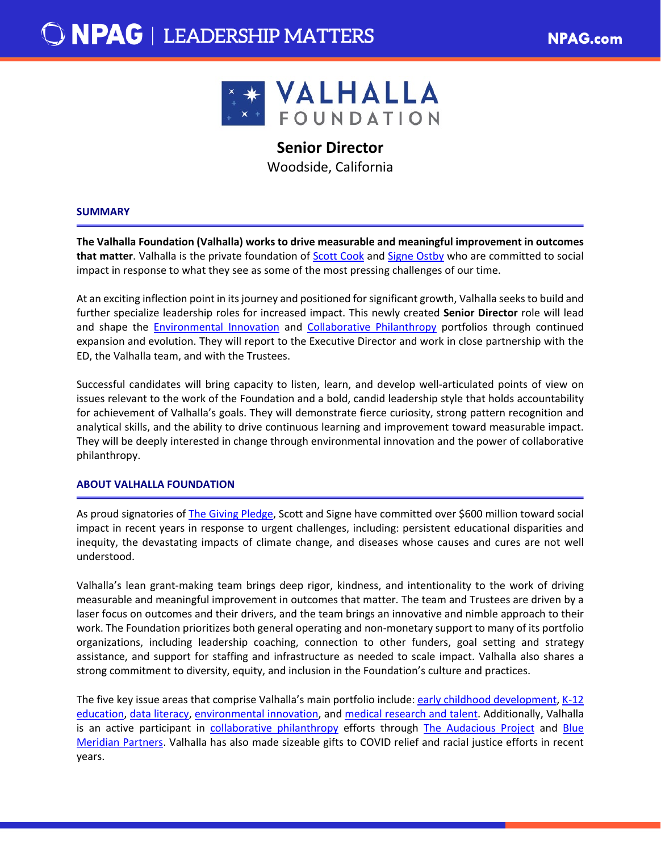

# **Senior Director**

Woodside, California

## **SUMMARY**

**The Valhalla Foundation (Valhalla) works to drive measurable and meaningful improvement in outcomes that matter**. Valhalla is the private foundation of [Scott Cook](https://valhalla.org/people/scott-cook/) and [Signe Ostby](https://valhalla.org/people/signe-ostby/) who are committed to social impact in response to what they see as some of the most pressing challenges of our time.

At an exciting inflection point in its journey and positioned for significant growth, Valhalla seeks to build and further specialize leadership roles for increased impact. This newly created **Senior Director** role will lead and shape the [Environmental Innovation](https://valhalla.org/environmental-innovation/environmental-defense-fund-air-quality-initiative/) and [Collaborative Philanthropy](https://valhalla.org/collaborative-philanthropy/) portfolios through continued expansion and evolution. They will report to the Executive Director and work in close partnership with the ED, the Valhalla team, and with the Trustees.

Successful candidates will bring capacity to listen, learn, and develop well-articulated points of view on issues relevant to the work of the Foundation and a bold, candid leadership style that holds accountability for achievement of Valhalla's goals. They will demonstrate fierce curiosity, strong pattern recognition and analytical skills, and the ability to drive continuous learning and improvement toward measurable impact. They will be deeply interested in change through environmental innovation and the power of collaborative philanthropy.

## **ABOUT VALHALLA FOUNDATION**

As proud signatories of [The Giving Pledge,](https://givingpledge.org/) Scott and Signe have committed over \$600 million toward social impact in recent years in response to urgent challenges, including: persistent educational disparities and inequity, the devastating impacts of climate change, and diseases whose causes and cures are not well understood.

Valhalla's lean grant-making team brings deep rigor, kindness, and intentionality to the work of driving measurable and meaningful improvement in outcomes that matter. The team and Trustees are driven by a laser focus on outcomes and their drivers, and the team brings an innovative and nimble approach to their work. The Foundation prioritizes both general operating and non-monetary support to many of its portfolio organizations, including leadership coaching, connection to other funders, goal setting and strategy assistance, and support for staffing and infrastructure as needed to scale impact. Valhalla also shares a strong commitment to diversity, equity, and inclusion in the Foundation's culture and practices.

The five key issue areas that comprise Valhalla's main portfolio include: [early childhood development,](https://valhalla.org/early-childhood-development/) [K-12](https://valhalla.org/k12-education/)  [education,](https://valhalla.org/k12-education/) [data literacy,](https://valhalla.org/data-literacy/) [environmental innovation,](https://valhalla.org/environmental-innovation/) and [medical research and talent.](https://valhalla.org/medical-research/) Additionally, Valhalla is an active participant in [collaborative philanthropy](https://valhalla.org/collaborative-philanthropy/) efforts through [The Audacious Project](https://www.audaciousproject.org/) and [Blue](https://www.bluemeridian.org/)  [Meridian Partners.](https://www.bluemeridian.org/) Valhalla has also made sizeable gifts to COVID relief and racial justice efforts in recent years.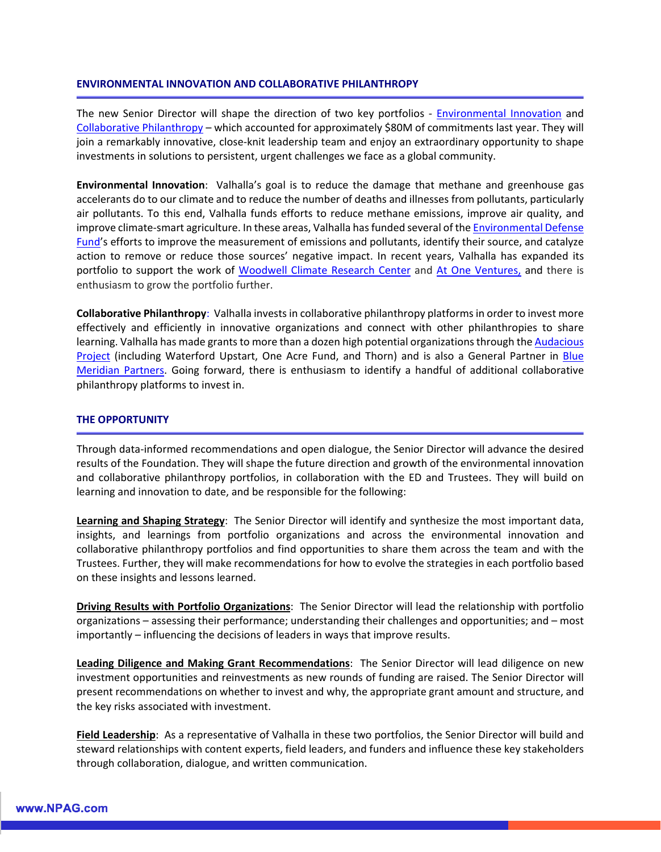## **ENVIRONMENTAL INNOVATION AND COLLABORATIVE PHILANTHROPY**

The new Senior Director will shape the direction of two key portfolios - [Environmental Innovation](https://valhalla.org/environmental-innovation/environmental-defense-fund-air-quality-initiative/) and [Collaborative Philanthropy](https://valhalla.org/collaborative-philanthropy/) – which accounted for approximately \$80M of commitments last year. They will join a remarkably innovative, close-knit leadership team and enjoy an extraordinary opportunity to shape investments in solutions to persistent, urgent challenges we face as a global community.

**Environmental Innovation**: Valhalla's goal is to reduce the damage that methane and greenhouse gas accelerants do to our climate and to reduce the number of deaths and illnesses from pollutants, particularly air pollutants. To this end, Valhalla funds efforts to reduce methane emissions, improve air quality, and improve climate-smart agriculture. In these areas, Valhalla has funded several of the [Environmental Defense](https://www.edf.org/)  [Fund'](https://www.edf.org/)s efforts to improve the measurement of emissions and pollutants, identify their source, and catalyze action to remove or reduce those sources' negative impact. In recent years, Valhalla has expanded its portfolio to support the work of [Woodwell Climate Research Center](https://www.woodwellclimate.org/) and [At One Ventures,](https://www.atoneventures.com/) and there is enthusiasm to grow the portfolio further.

**Collaborative Philanthropy**: Valhalla invests in collaborative philanthropy platforms in order to invest more effectively and efficiently in innovative organizations and connect with other philanthropies to share learning. Valhalla has made grants to more than a dozen high potential organizations through the Audacious [Project](https://www.audaciousproject.org/) (including Waterford Upstart, One Acre Fund, and Thorn) and is also a General Partner in Blue [Meridian](https://www.bluemeridian.org/) Partners. Going forward, there is enthusiasm to identify a handful of additional collaborative philanthropy platforms to invest in.

## **THE OPPORTUNITY**

Through data-informed recommendations and open dialogue, the Senior Director will advance the desired results of the Foundation. They will shape the future direction and growth of the environmental innovation and collaborative philanthropy portfolios, in collaboration with the ED and Trustees. They will build on learning and innovation to date, and be responsible for the following:

**Learning and Shaping Strategy**: The Senior Director will identify and synthesize the most important data, insights, and learnings from portfolio organizations and across the environmental innovation and collaborative philanthropy portfolios and find opportunities to share them across the team and with the Trustees. Further, they will make recommendations for how to evolve the strategies in each portfolio based on these insights and lessons learned.

**Driving Results with Portfolio Organizations**: The Senior Director will lead the relationship with portfolio organizations – assessing their performance; understanding their challenges and opportunities; and – most importantly – influencing the decisions of leaders in ways that improve results.

**Leading Diligence and Making Grant Recommendations**: The Senior Director will lead diligence on new investment opportunities and reinvestments as new rounds of funding are raised. The Senior Director will present recommendations on whether to invest and why, the appropriate grant amount and structure, and the key risks associated with investment.

**Field Leadership**: As a representative of Valhalla in these two portfolios, the Senior Director will build and steward relationships with content experts, field leaders, and funders and influence these key stakeholders through collaboration, dialogue, and written communication.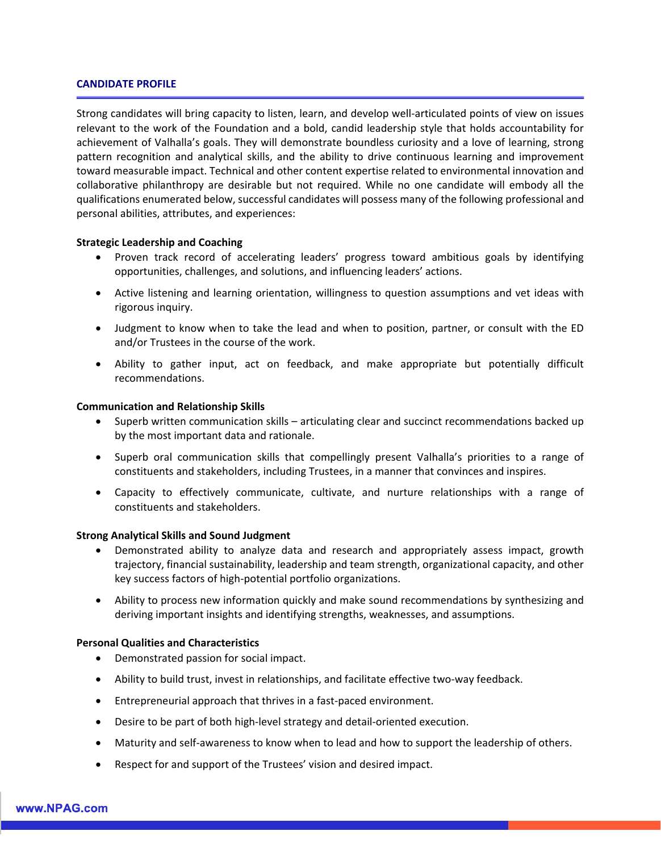#### **CANDIDATE PROFILE**

Strong candidates will bring capacity to listen, learn, and develop well-articulated points of view on issues relevant to the work of the Foundation and a bold, candid leadership style that holds accountability for achievement of Valhalla's goals. They will demonstrate boundless curiosity and a love of learning, strong pattern recognition and analytical skills, and the ability to drive continuous learning and improvement toward measurable impact. Technical and other content expertise related to environmental innovation and collaborative philanthropy are desirable but not required. While no one candidate will embody all the qualifications enumerated below, successful candidates will possess many of the following professional and personal abilities, attributes, and experiences:

## **Strategic Leadership and Coaching**

- Proven track record of accelerating leaders' progress toward ambitious goals by identifying opportunities, challenges, and solutions, and influencing leaders' actions.
- Active listening and learning orientation, willingness to question assumptions and vet ideas with rigorous inquiry.
- Judgment to know when to take the lead and when to position, partner, or consult with the ED and/or Trustees in the course of the work.
- Ability to gather input, act on feedback, and make appropriate but potentially difficult recommendations.

#### **Communication and Relationship Skills**

- Superb written communication skills articulating clear and succinct recommendations backed up by the most important data and rationale.
- Superb oral communication skills that compellingly present Valhalla's priorities to a range of constituents and stakeholders, including Trustees, in a manner that convinces and inspires.
- Capacity to effectively communicate, cultivate, and nurture relationships with a range of constituents and stakeholders.

## **Strong Analytical Skills and Sound Judgment**

- Demonstrated ability to analyze data and research and appropriately assess impact, growth trajectory, financial sustainability, leadership and team strength, organizational capacity, and other key success factors of high-potential portfolio organizations.
- Ability to process new information quickly and make sound recommendations by synthesizing and deriving important insights and identifying strengths, weaknesses, and assumptions.

## **Personal Qualities and Characteristics**

- Demonstrated passion for social impact.
- Ability to build trust, invest in relationships, and facilitate effective two-way feedback.
- Entrepreneurial approach that thrives in a fast-paced environment.
- Desire to be part of both high-level strategy and detail-oriented execution.
- Maturity and self-awareness to know when to lead and how to support the leadership of others.
- Respect for and support of the Trustees' vision and desired impact.